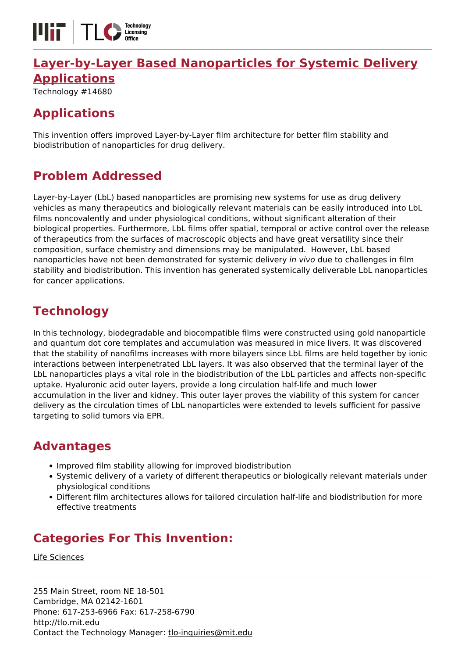

# **[Layer-by-Layer Based Nanoparticles for Systemic Delivery](https://tlo.mit.edu/technologies/layer-layer-based-nanoparticles-systemic-delivery-applications) [Applications](https://tlo.mit.edu/technologies/layer-layer-based-nanoparticles-systemic-delivery-applications)**

Technology #14680

# **Applications**

This invention offers improved Layer-by-Layer film architecture for better film stability and biodistribution of nanoparticles for drug delivery.

# **Problem Addressed**

Layer-by-Layer (LbL) based nanoparticles are promising new systems for use as drug delivery vehicles as many therapeutics and biologically relevant materials can be easily introduced into LbL films noncovalently and under physiological conditions, without significant alteration of their biological properties. Furthermore, LbL films offer spatial, temporal or active control over the release of therapeutics from the surfaces of macroscopic objects and have great versatility since their composition, surface chemistry and dimensions may be manipulated. However, LbL based nanoparticles have not been demonstrated for systemic delivery in vivo due to challenges in film stability and biodistribution. This invention has generated systemically deliverable LbL nanoparticles for cancer applications.

# **Technology**

In this technology, biodegradable and biocompatible films were constructed using gold nanoparticle and quantum dot core templates and accumulation was measured in mice livers. It was discovered that the stability of nanofilms increases with more bilayers since LbL films are held together by ionic interactions between interpenetrated LbL layers. It was also observed that the terminal layer of the LbL nanoparticles plays a vital role in the biodistribution of the LbL particles and affects non-specific uptake. Hyaluronic acid outer layers, provide a long circulation half-life and much lower accumulation in the liver and kidney. This outer layer proves the viability of this system for cancer delivery as the circulation times of LbL nanoparticles were extended to levels sufficient for passive targeting to solid tumors via EPR.

#### **Advantages**

- Improved film stability allowing for improved biodistribution
- Systemic delivery of a variety of different therapeutics or biologically relevant materials under physiological conditions
- Different film architectures allows for tailored circulation half-life and biodistribution for more effective treatments

# **Categories For This Invention:**

[Life Sciences](https://tlo.mit.edu/life-sciences)